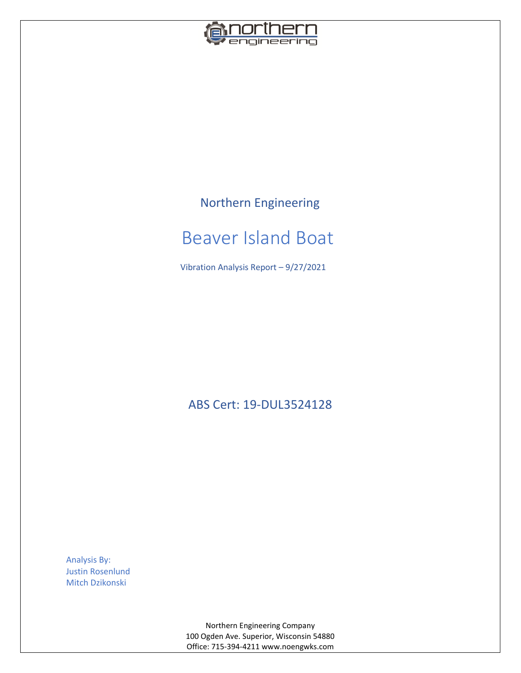

# Northern Engineering

# Beaver Island Boat

Vibration Analysis Report – 9/27/2021

ABS Cert: 19-DUL3524128

Analysis By: Justin Rosenlund Mitch Dzikonski

> Northern Engineering Company 100 Ogden Ave. Superior, Wisconsin 54880 Office: 715-394-4211 www.noengwks.com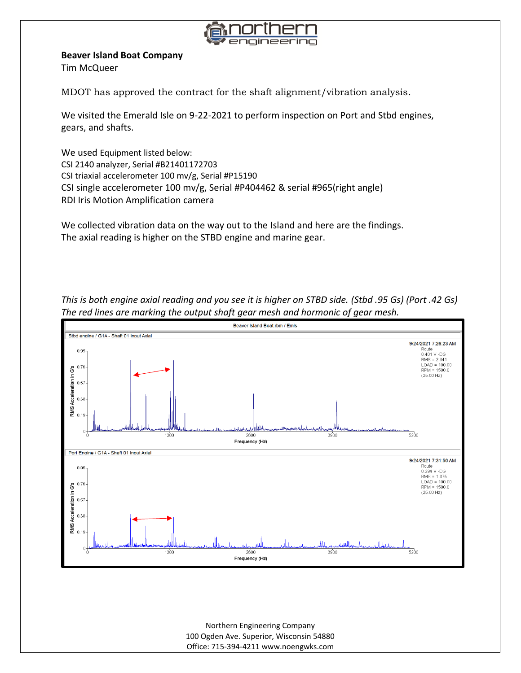

#### **Beaver Island Boat Company**

Tim McQueer

MDOT has approved the contract for the shaft alignment/vibration analysis.

We visited the Emerald Isle on 9-22-2021 to perform inspection on Port and Stbd engines, gears, and shafts.

We used Equipment listed below: CSI 2140 analyzer, Serial #B21401172703 CSI triaxial accelerometer 100 mv/g, Serial #P15190 CSI single accelerometer 100 mv/g, Serial #P404462 & serial #965(right angle) RDI Iris Motion Amplification camera

We collected vibration data on the way out to the Island and here are the findings. The axial reading is higher on the STBD engine and marine gear.



*This is both engine axial reading and you see it is higher on STBD side. (Stbd .95 Gs) (Port .42 Gs) The red lines are marking the output shaft gear mesh and hormonic of gear mesh.* 

> Northern Engineering Company 100 Ogden Ave. Superior, Wisconsin 54880 Office: 715-394-4211 www.noengwks.com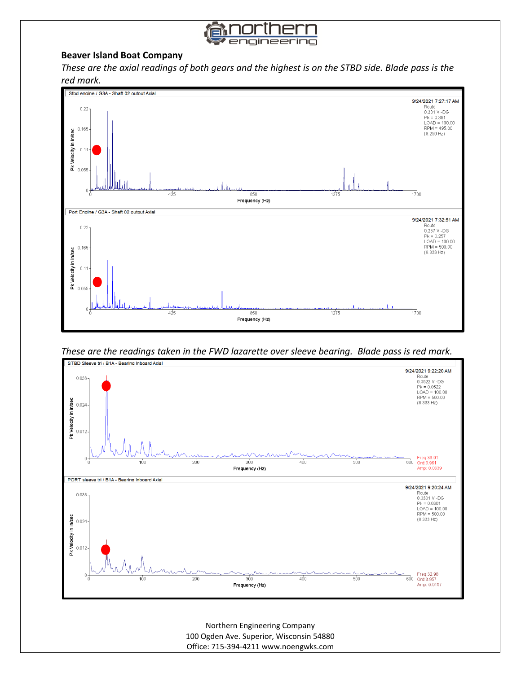

## **Beaver Island Boat Company**

*These are the axial readings of both gears and the highest is on the STBD side. Blade pass is the red mark.*



*These are the readings taken in the FWD lazarette over sleeve bearing. Blade pass is red mark.* 



Northern Engineering Company 100 Ogden Ave. Superior, Wisconsin 54880 Office: 715-394-4211 www.noengwks.com